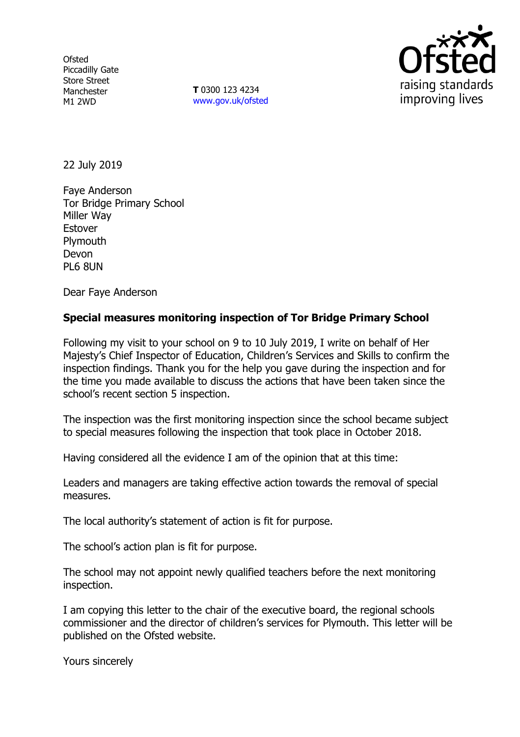**Ofsted** Piccadilly Gate Store Street Manchester M1 2WD

**T** 0300 123 4234 www.gov.uk/ofsted



22 July 2019

Faye Anderson Tor Bridge Primary School Miller Way Estover Plymouth Devon PL6 8UN

Dear Faye Anderson

## **Special measures monitoring inspection of Tor Bridge Primary School**

Following my visit to your school on 9 to 10 July 2019, I write on behalf of Her Majesty's Chief Inspector of Education, Children's Services and Skills to confirm the inspection findings. Thank you for the help you gave during the inspection and for the time you made available to discuss the actions that have been taken since the school's recent section 5 inspection.

The inspection was the first monitoring inspection since the school became subject to special measures following the inspection that took place in October 2018.

Having considered all the evidence I am of the opinion that at this time:

Leaders and managers are taking effective action towards the removal of special measures.

The local authority's statement of action is fit for purpose.

The school's action plan is fit for purpose.

The school may not appoint newly qualified teachers before the next monitoring inspection.

I am copying this letter to the chair of the executive board, the regional schools commissioner and the director of children's services for Plymouth. This letter will be published on the Ofsted website.

Yours sincerely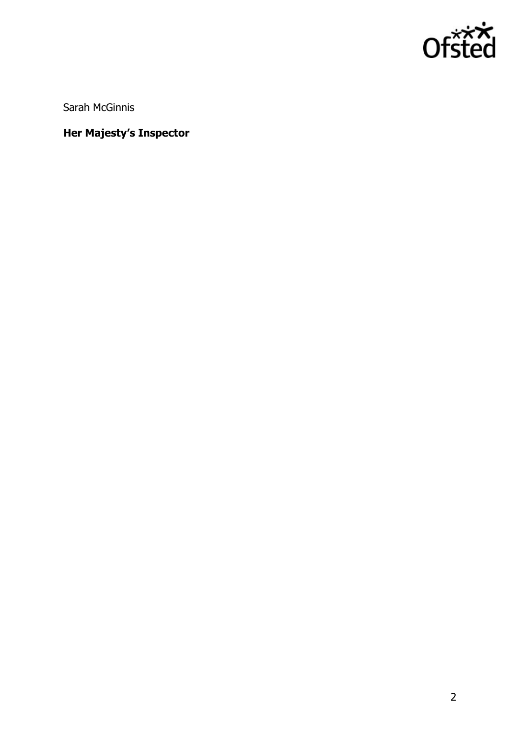

Sarah McGinnis

# **Her Majesty's Inspector**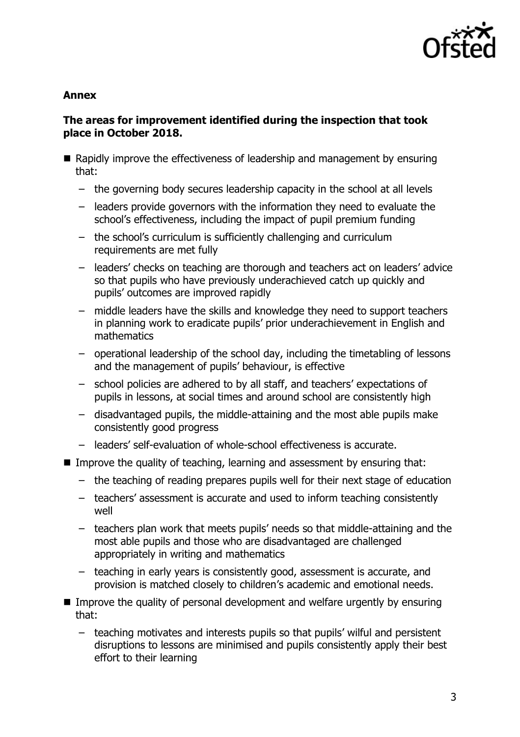

### **Annex**

## **The areas for improvement identified during the inspection that took place in October 2018.**

- Rapidly improve the effectiveness of leadership and management by ensuring that:
	- the governing body secures leadership capacity in the school at all levels
	- leaders provide governors with the information they need to evaluate the school's effectiveness, including the impact of pupil premium funding
	- the school's curriculum is sufficiently challenging and curriculum requirements are met fully
	- leaders' checks on teaching are thorough and teachers act on leaders' advice so that pupils who have previously underachieved catch up quickly and pupils' outcomes are improved rapidly
	- middle leaders have the skills and knowledge they need to support teachers in planning work to eradicate pupils' prior underachievement in English and mathematics
	- operational leadership of the school day, including the timetabling of lessons and the management of pupils' behaviour, is effective
	- school policies are adhered to by all staff, and teachers' expectations of pupils in lessons, at social times and around school are consistently high
	- disadvantaged pupils, the middle-attaining and the most able pupils make consistently good progress
	- leaders' self-evaluation of whole-school effectiveness is accurate.
- Improve the quality of teaching, learning and assessment by ensuring that:
	- the teaching of reading prepares pupils well for their next stage of education
	- teachers' assessment is accurate and used to inform teaching consistently well
	- teachers plan work that meets pupils' needs so that middle-attaining and the most able pupils and those who are disadvantaged are challenged appropriately in writing and mathematics
	- teaching in early years is consistently good, assessment is accurate, and provision is matched closely to children's academic and emotional needs.
- **IMPROVE THE QUALA INCOCORDITY OF PERSONAL DEVELOPMENT AND WELF ASSET IN FIGURE IN THE INCOCORDITY INCOCORDITY** that:
	- teaching motivates and interests pupils so that pupils' wilful and persistent disruptions to lessons are minimised and pupils consistently apply their best effort to their learning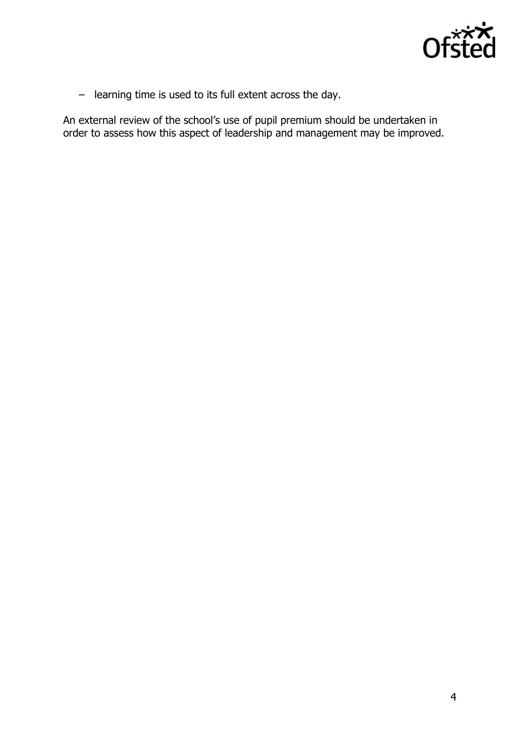

– learning time is used to its full extent across the day.

An external review of the school's use of pupil premium should be undertaken in order to assess how this aspect of leadership and management may be improved.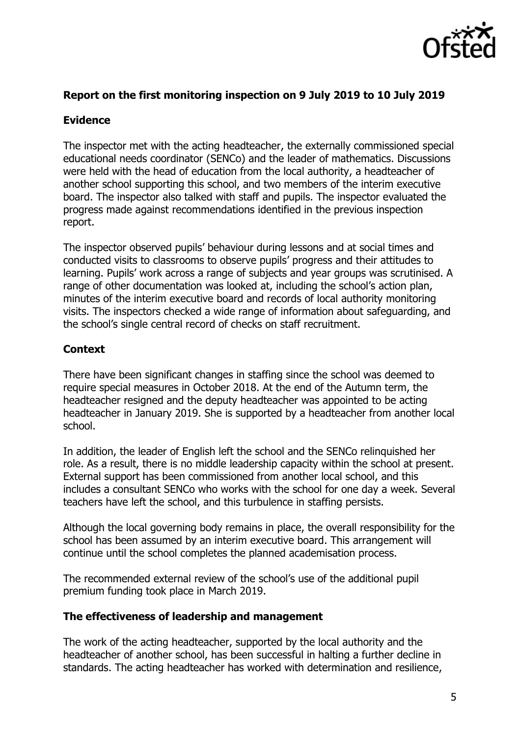

# **Report on the first monitoring inspection on 9 July 2019 to 10 July 2019**

# **Evidence**

The inspector met with the acting headteacher, the externally commissioned special educational needs coordinator (SENCo) and the leader of mathematics. Discussions were held with the head of education from the local authority, a headteacher of another school supporting this school, and two members of the interim executive board. The inspector also talked with staff and pupils. The inspector evaluated the progress made against recommendations identified in the previous inspection report.

The inspector observed pupils' behaviour during lessons and at social times and conducted visits to classrooms to observe pupils' progress and their attitudes to learning. Pupils' work across a range of subjects and year groups was scrutinised. A range of other documentation was looked at, including the school's action plan, minutes of the interim executive board and records of local authority monitoring visits. The inspectors checked a wide range of information about safeguarding, and the school's single central record of checks on staff recruitment.

# **Context**

There have been significant changes in staffing since the school was deemed to require special measures in October 2018. At the end of the Autumn term, the headteacher resigned and the deputy headteacher was appointed to be acting headteacher in January 2019. She is supported by a headteacher from another local school.

In addition, the leader of English left the school and the SENCo relinquished her role. As a result, there is no middle leadership capacity within the school at present. External support has been commissioned from another local school, and this includes a consultant SENCo who works with the school for one day a week. Several teachers have left the school, and this turbulence in staffing persists.

Although the local governing body remains in place, the overall responsibility for the school has been assumed by an interim executive board. This arrangement will continue until the school completes the planned academisation process.

The recommended external review of the school's use of the additional pupil premium funding took place in March 2019.

#### **The effectiveness of leadership and management**

The work of the acting headteacher, supported by the local authority and the headteacher of another school, has been successful in halting a further decline in standards. The acting headteacher has worked with determination and resilience,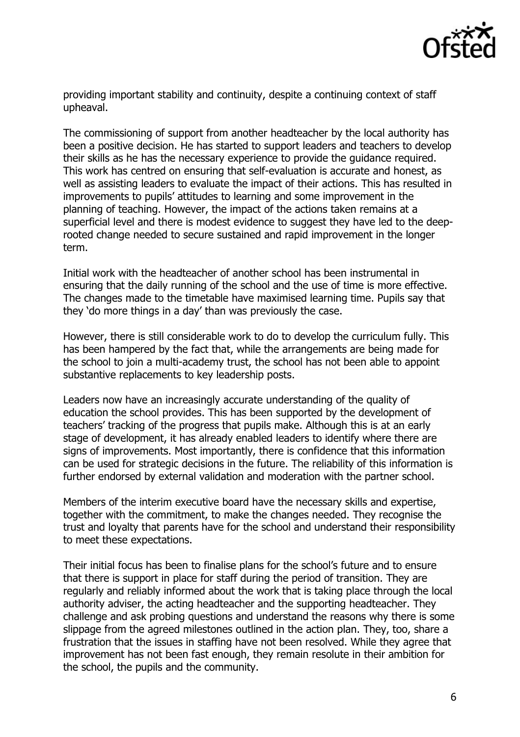

providing important stability and continuity, despite a continuing context of staff upheaval.

The commissioning of support from another headteacher by the local authority has been a positive decision. He has started to support leaders and teachers to develop their skills as he has the necessary experience to provide the guidance required. This work has centred on ensuring that self-evaluation is accurate and honest, as well as assisting leaders to evaluate the impact of their actions. This has resulted in improvements to pupils' attitudes to learning and some improvement in the planning of teaching. However, the impact of the actions taken remains at a superficial level and there is modest evidence to suggest they have led to the deeprooted change needed to secure sustained and rapid improvement in the longer term.

Initial work with the headteacher of another school has been instrumental in ensuring that the daily running of the school and the use of time is more effective. The changes made to the timetable have maximised learning time. Pupils say that they 'do more things in a day' than was previously the case.

However, there is still considerable work to do to develop the curriculum fully. This has been hampered by the fact that, while the arrangements are being made for the school to join a multi-academy trust, the school has not been able to appoint substantive replacements to key leadership posts.

Leaders now have an increasingly accurate understanding of the quality of education the school provides. This has been supported by the development of teachers' tracking of the progress that pupils make. Although this is at an early stage of development, it has already enabled leaders to identify where there are signs of improvements. Most importantly, there is confidence that this information can be used for strategic decisions in the future. The reliability of this information is further endorsed by external validation and moderation with the partner school.

Members of the interim executive board have the necessary skills and expertise, together with the commitment, to make the changes needed. They recognise the trust and loyalty that parents have for the school and understand their responsibility to meet these expectations.

Their initial focus has been to finalise plans for the school's future and to ensure that there is support in place for staff during the period of transition. They are regularly and reliably informed about the work that is taking place through the local authority adviser, the acting headteacher and the supporting headteacher. They challenge and ask probing questions and understand the reasons why there is some slippage from the agreed milestones outlined in the action plan. They, too, share a frustration that the issues in staffing have not been resolved. While they agree that improvement has not been fast enough, they remain resolute in their ambition for the school, the pupils and the community.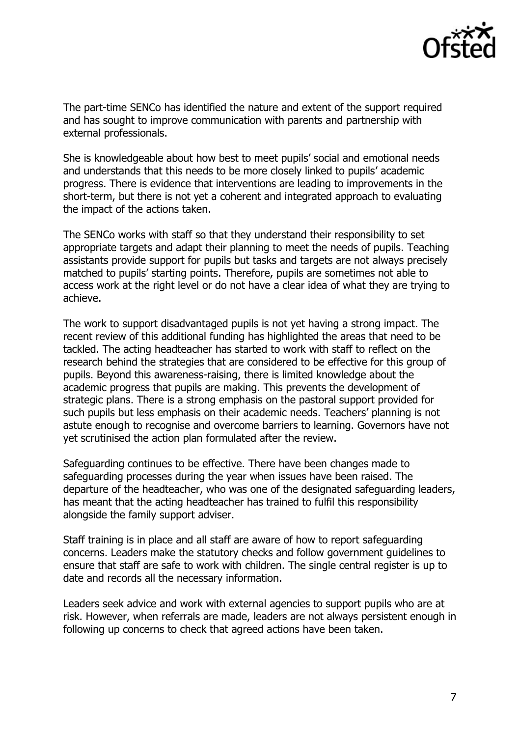

The part-time SENCo has identified the nature and extent of the support required and has sought to improve communication with parents and partnership with external professionals.

She is knowledgeable about how best to meet pupils' social and emotional needs and understands that this needs to be more closely linked to pupils' academic progress. There is evidence that interventions are leading to improvements in the short-term, but there is not yet a coherent and integrated approach to evaluating the impact of the actions taken.

The SENCo works with staff so that they understand their responsibility to set appropriate targets and adapt their planning to meet the needs of pupils. Teaching assistants provide support for pupils but tasks and targets are not always precisely matched to pupils' starting points. Therefore, pupils are sometimes not able to access work at the right level or do not have a clear idea of what they are trying to achieve.

The work to support disadvantaged pupils is not yet having a strong impact. The recent review of this additional funding has highlighted the areas that need to be tackled. The acting headteacher has started to work with staff to reflect on the research behind the strategies that are considered to be effective for this group of pupils. Beyond this awareness-raising, there is limited knowledge about the academic progress that pupils are making. This prevents the development of strategic plans. There is a strong emphasis on the pastoral support provided for such pupils but less emphasis on their academic needs. Teachers' planning is not astute enough to recognise and overcome barriers to learning. Governors have not yet scrutinised the action plan formulated after the review.

Safeguarding continues to be effective. There have been changes made to safeguarding processes during the year when issues have been raised. The departure of the headteacher, who was one of the designated safeguarding leaders, has meant that the acting headteacher has trained to fulfil this responsibility alongside the family support adviser.

Staff training is in place and all staff are aware of how to report safeguarding concerns. Leaders make the statutory checks and follow government guidelines to ensure that staff are safe to work with children. The single central register is up to date and records all the necessary information.

Leaders seek advice and work with external agencies to support pupils who are at risk. However, when referrals are made, leaders are not always persistent enough in following up concerns to check that agreed actions have been taken.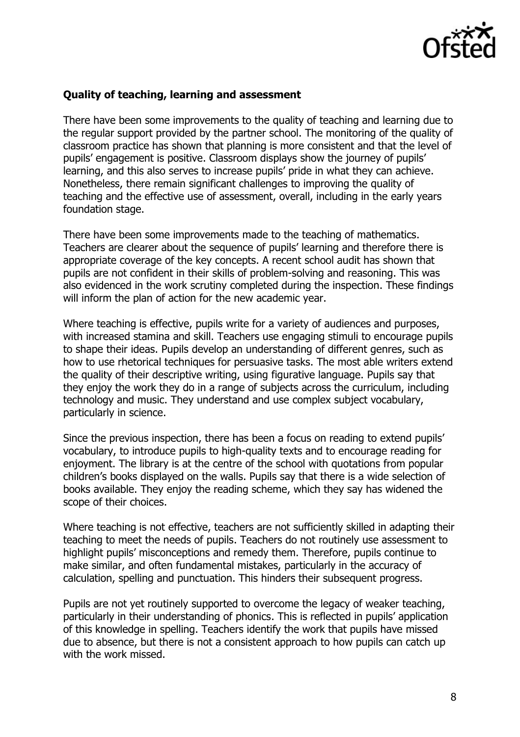

### **Quality of teaching, learning and assessment**

There have been some improvements to the quality of teaching and learning due to the regular support provided by the partner school. The monitoring of the quality of classroom practice has shown that planning is more consistent and that the level of pupils' engagement is positive. Classroom displays show the journey of pupils' learning, and this also serves to increase pupils' pride in what they can achieve. Nonetheless, there remain significant challenges to improving the quality of teaching and the effective use of assessment, overall, including in the early years foundation stage.

There have been some improvements made to the teaching of mathematics. Teachers are clearer about the sequence of pupils' learning and therefore there is appropriate coverage of the key concepts. A recent school audit has shown that pupils are not confident in their skills of problem-solving and reasoning. This was also evidenced in the work scrutiny completed during the inspection. These findings will inform the plan of action for the new academic year.

Where teaching is effective, pupils write for a variety of audiences and purposes, with increased stamina and skill. Teachers use engaging stimuli to encourage pupils to shape their ideas. Pupils develop an understanding of different genres, such as how to use rhetorical techniques for persuasive tasks. The most able writers extend the quality of their descriptive writing, using figurative language. Pupils say that they enjoy the work they do in a range of subjects across the curriculum, including technology and music. They understand and use complex subject vocabulary, particularly in science.

Since the previous inspection, there has been a focus on reading to extend pupils' vocabulary, to introduce pupils to high-quality texts and to encourage reading for enjoyment. The library is at the centre of the school with quotations from popular children's books displayed on the walls. Pupils say that there is a wide selection of books available. They enjoy the reading scheme, which they say has widened the scope of their choices.

Where teaching is not effective, teachers are not sufficiently skilled in adapting their teaching to meet the needs of pupils. Teachers do not routinely use assessment to highlight pupils' misconceptions and remedy them. Therefore, pupils continue to make similar, and often fundamental mistakes, particularly in the accuracy of calculation, spelling and punctuation. This hinders their subsequent progress.

Pupils are not yet routinely supported to overcome the legacy of weaker teaching, particularly in their understanding of phonics. This is reflected in pupils' application of this knowledge in spelling. Teachers identify the work that pupils have missed due to absence, but there is not a consistent approach to how pupils can catch up with the work missed.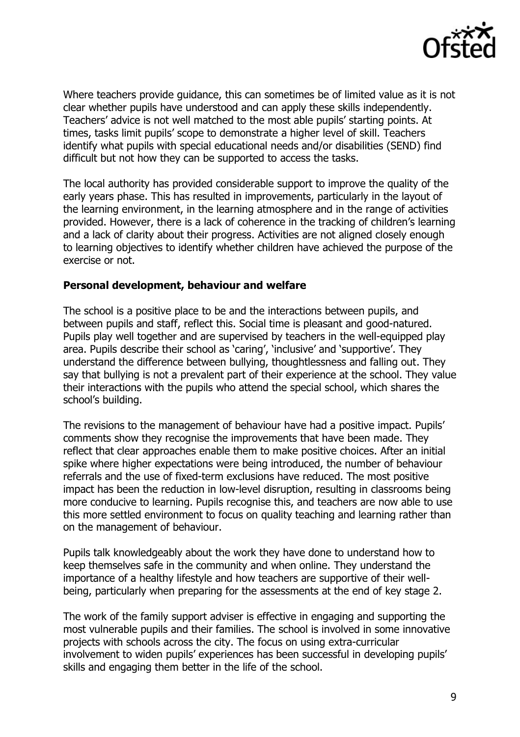

Where teachers provide guidance, this can sometimes be of limited value as it is not clear whether pupils have understood and can apply these skills independently. Teachers' advice is not well matched to the most able pupils' starting points. At times, tasks limit pupils' scope to demonstrate a higher level of skill. Teachers identify what pupils with special educational needs and/or disabilities (SEND) find difficult but not how they can be supported to access the tasks.

The local authority has provided considerable support to improve the quality of the early years phase. This has resulted in improvements, particularly in the layout of the learning environment, in the learning atmosphere and in the range of activities provided. However, there is a lack of coherence in the tracking of children's learning and a lack of clarity about their progress. Activities are not aligned closely enough to learning objectives to identify whether children have achieved the purpose of the exercise or not.

#### **Personal development, behaviour and welfare**

The school is a positive place to be and the interactions between pupils, and between pupils and staff, reflect this. Social time is pleasant and good-natured. Pupils play well together and are supervised by teachers in the well-equipped play area. Pupils describe their school as 'caring', 'inclusive' and 'supportive'. They understand the difference between bullying, thoughtlessness and falling out. They say that bullying is not a prevalent part of their experience at the school. They value their interactions with the pupils who attend the special school, which shares the school's building.

The revisions to the management of behaviour have had a positive impact. Pupils' comments show they recognise the improvements that have been made. They reflect that clear approaches enable them to make positive choices. After an initial spike where higher expectations were being introduced, the number of behaviour referrals and the use of fixed-term exclusions have reduced. The most positive impact has been the reduction in low-level disruption, resulting in classrooms being more conducive to learning. Pupils recognise this, and teachers are now able to use this more settled environment to focus on quality teaching and learning rather than on the management of behaviour.

Pupils talk knowledgeably about the work they have done to understand how to keep themselves safe in the community and when online. They understand the importance of a healthy lifestyle and how teachers are supportive of their wellbeing, particularly when preparing for the assessments at the end of key stage 2.

The work of the family support adviser is effective in engaging and supporting the most vulnerable pupils and their families. The school is involved in some innovative projects with schools across the city. The focus on using extra-curricular involvement to widen pupils' experiences has been successful in developing pupils' skills and engaging them better in the life of the school.